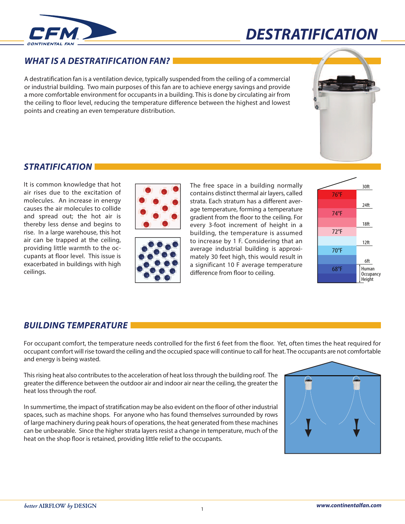



## *WHAT IS A DESTRATIFICATION FAN?*

A destratification fan is a ventilation device, typically suspended from the ceiling of a commercial or industrial building. Two main purposes of this fan are to achieve energy savings and provide a more comfortable environment for occupants in a building. This is done by circulating air from the ceiling to floor level, reducing the temperature difference between the highest and lowest points and creating an even temperature distribution.



## *STRATIFICATION*

It is common knowledge that hot air rises due to the excitation of molecules. An increase in energy causes the air molecules to collide and spread out; the hot air is thereby less dense and begins to rise. In a large warehouse, this hot air can be trapped at the ceiling, providing little warmth to the occupants at floor level. This issue is exacerbated in buildings with high ceilings.





The free space in a building normally contains distinct thermal air layers, called strata. Each stratum has a different average temperature, forming a temperature gradient from the floor to the ceiling. For every 3-foot increment of height in a building, the temperature is assumed to increase by 1 F. Considering that an average industrial building is approximately 30 feet high, this would result in a significant 10 F average temperature difference from floor to ceiling.



### *BUILDING TEMPERATURE*

For occupant comfort, the temperature needs controlled for the first 6 feet from the floor. Yet, often times the heat required for occupant comfort will rise toward the ceiling and the occupied space will continue to call for heat. The occupants are not comfortable and energy is being wasted.

This rising heat also contributes to the acceleration of heat loss through the building roof. The greater the difference between the outdoor air and indoor air near the ceiling, the greater the heat loss through the roof.

In summertime, the impact of stratification may be also evident on the floor of other industrial spaces, such as machine shops. For anyone who has found themselves surrounded by rows of large machinery during peak hours of operations, the heat generated from these machines can be unbearable. Since the higher strata layers resist a change in temperature, much of the heat on the shop floor is retained, providing little relief to the occupants.

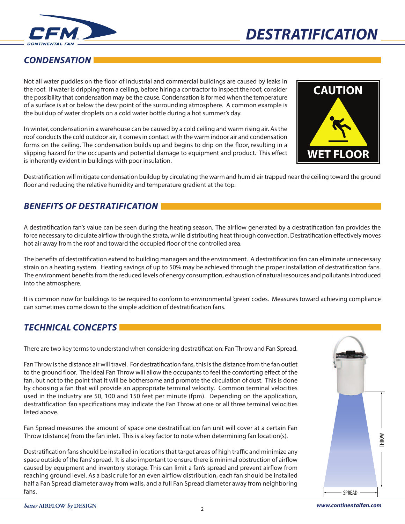



# *CONDENSATION*

Not all water puddles on the floor of industrial and commercial buildings are caused by leaks in the roof. If water is dripping from a ceiling, before hiring a contractor to inspect the roof, consider the possibility that condensation may be the cause. Condensation isformed when the temperature of a surface is at or below the dew point of the surrounding atmosphere. A common example is the buildup of water droplets on a cold water bottle during a hot summer's day.

In winter, condensation in a warehouse can be caused by a cold ceiling and warm rising air. Asthe roof conducts the cold outdoor air, it comes in contact with the warm indoor air and condensation forms on the ceiling. The condensation builds up and begins to drip on the floor, resulting in a slipping hazard for the occupants and potential damage to equipment and product. This effect is inherently evident in buildings with poor insulation.



Destratification will mitigate condensation buildup by circulating the warm and humid air trapped near the ceiling toward the ground floor and reducing the relative humidity and temperature gradient at the top.

# *BENEFITS OF DESTRATIFICATION*

A destratification fan's value can be seen during the heating season. The airflow generated by a destratification fan provides the force necessary to circulate airflow through the strata, while distributing heat through convection. Destratification effectively moves hot air away from the roof and toward the occupied floor of the controlled area.

The benefits of destratification extend to building managers and the environment. A destratification fan can eliminate unnecessary strain on a heating system. Heating savings of up to 50% may be achieved through the proper installation of destratification fans. The environment benefits from the reduced levels of energy consumption, exhaustion of natural resources and pollutants introduced into the atmosphere.

It is common now for buildings to be required to conform to environmental 'green' codes. Measures toward achieving compliance can sometimes come down to the simple addition of destratification fans.

# *TECHNICAL CONCEPTS*

There are two key terms to understand when considering destratification: Fan Throw and Fan Spread.

Fan Throw is the distance air will travel. For destratification fans, this is the distance from the fan outlet to the ground floor. The ideal Fan Throw will allow the occupants to feel the comforting effect of the fan, but not to the point that it will be bothersome and promote the circulation of dust. This is done by choosing a fan that will provide an appropriate terminal velocity. Common terminal velocities used in the industry are 50, 100 and 150 feet per minute (fpm). Depending on the application, destratification fan specifications may indicate the Fan Throw at one or all three terminal velocities listed above.

Fan Spread measures the amount of space one destratification fan unit will cover at a certain Fan Throw (distance) from the fan inlet. This is a key factor to note when determining fan location(s).

Destratification fans should be installed in locations that target areas of high traffic and minimize any space outside of the fans'spread. It is also important to ensure there is minimal obstruction of airflow caused by equipment and inventory storage. This can limit a fan's spread and prevent airflow from reaching ground level. As a basic rule for an even airflow distribution, each fan should be installed half a Fan Spread diameter away from walls, and a full Fan Spread diameter away from neighboring fans. SPREAD

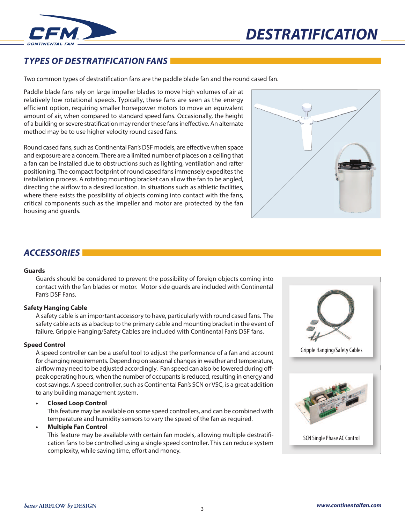



# *TYPES OF DESTRATIFICATION FANS*

Two common types of destratification fans are the paddle blade fan and the round cased fan.

Paddle blade fans rely on large impeller blades to move high volumes of air at relatively low rotational speeds. Typically, these fans are seen as the energy efficient option, requiring smaller horsepower motors to move an equivalent amount of air, when compared to standard speed fans. Occasionally, the height of a building or severe stratification may render these fans ineffective. An alternate method may be to use higher velocity round cased fans.

Round cased fans, such as Continental Fan's DSF models, are effective when space and exposure are a concern. There are a limited number of places on a ceiling that a fan can be installed due to obstructions such as lighting, ventilation and rafter positioning. The compact footprint of round cased fans immensely expedites the installation process. A rotating mounting bracket can allow the fan to be angled, directing the airflow to a desired location. In situations such as athletic facilities, where there exists the possibility of objects coming into contact with the fans, critical components such as the impeller and motor are protected by the fan housing and guards.

### *ACCESSORIES*

#### **Guards**

Guards should be considered to prevent the possibility of foreign objects coming into contact with the fan blades or motor. Motor side guards are included with Continental Fan's DSF Fans.

#### **Safety Hanging Cable**

A safety cable is an important accessory to have, particularly with round cased fans. The safety cable acts as a backup to the primary cable and mounting bracket in the event of failure. Gripple Hanging/Safety Cables are included with Continental Fan's DSF fans.

### **Speed Control**

A speed controller can be a useful tool to adjust the performance of a fan and account for changing requirements. Depending on seasonal changes in weather and temperature, airflow may need to be adjusted accordingly. Fan speed can also be lowered during offpeak operating hours, when the number of occupantsisreduced, resulting in energy and cost savings. A speed controller, such as Continental Fan's SCN or VSC, is a great addition to any building management system.

### **• Closed Loop Control**

This feature may be available on some speed controllers, and can be combined with temperature and humidity sensors to vary the speed of the fan as required.

### **• Multiple Fan Control**

This feature may be available with certain fan models, allowing multiple destratification fans to be controlled using a single speed controller. This can reduce system complexity, while saving time, effort and money.